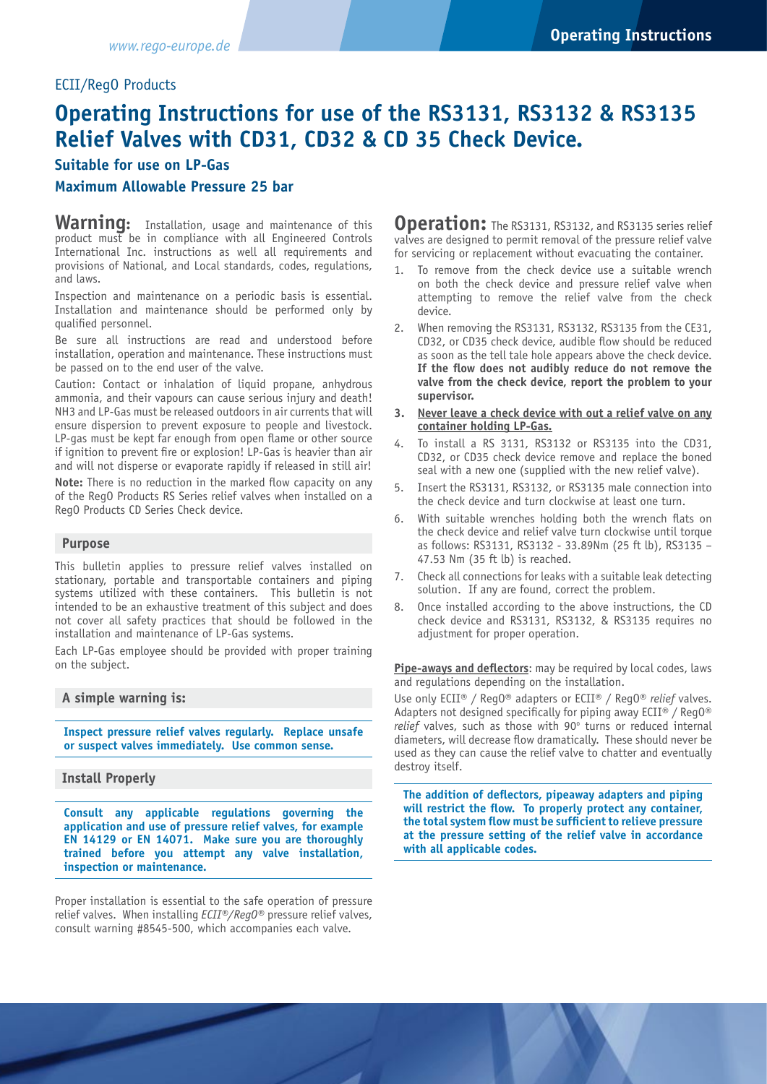# ECII/RegO Products

# **Operating Instructions for use of the RS3131, RS3132 & RS3135 Relief Valves with CD31, CD32 & CD 35 Check Device.**

# **Suitable for use on LP-Gas**

# **Maximum Allowable Pressure 25 bar**

Warning: Installation, usage and maintenance of this product must be in compliance with all Engineered Controls International Inc. instructions as well all requirements and provisions of National, and Local standards, codes, regulations, and laws.

Inspection and maintenance on a periodic basis is essential. Installation and maintenance should be performed only by qualified personnel.

Be sure all instructions are read and understood before installation, operation and maintenance. These instructions must be passed on to the end user of the valve.

Caution: Contact or inhalation of liquid propane, anhydrous ammonia, and their vapours can cause serious injury and death! NH3 and LP-Gas must be released outdoors in air currents that will ensure dispersion to prevent exposure to people and livestock. LP-gas must be kept far enough from open flame or other source if ignition to prevent fire or explosion! LP-Gas is heavier than air and will not disperse or evaporate rapidly if released in still air!

**Note:** There is no reduction in the marked flow capacity on any of the RegO Products RS Series relief valves when installed on a RegO Products CD Series Check device.

#### **Purpose**

This bulletin applies to pressure relief valves installed on stationary, portable and transportable containers and piping systems utilized with these containers. This bulletin is not intended to be an exhaustive treatment of this subject and does not cover all safety practices that should be followed in the installation and maintenance of LP-Gas systems.

Each LP-Gas employee should be provided with proper training on the subject.

## **A simple warning is:**

**Inspect pressure relief valves regularly. Replace unsafe or suspect valves immediately. Use common sense.**

## **Install Properly**

**Consult any applicable regulations governing the application and use of pressure relief valves, for example EN 14129 or EN 14071. Make sure you are thoroughly trained before you attempt any valve installation, inspection or maintenance.**

Proper installation is essential to the safe operation of pressure relief valves. When installing *ECII®/RegO®* pressure relief valves, consult warning #8545-500, which accompanies each valve.

**Operation:** The RS3131, RS3132, and RS3135 series relief valves are designed to permit removal of the pressure relief valve for servicing or replacement without evacuating the container.

- 1. To remove from the check device use a suitable wrench on both the check device and pressure relief valve when attempting to remove the relief valve from the check device.
- 2. When removing the RS3131, RS3132, RS3135 from the CE31, CD32, or CD35 check device, audible flow should be reduced as soon as the tell tale hole appears above the check device. **If the flow does not audibly reduce do not remove the valve from the check device, report the problem to your supervisor.**
- **3. Never leave a check device with out a relief valve on any container holding LP-Gas.**
- 4. To install a RS 3131, RS3132 or RS3135 into the CD31, CD32, or CD35 check device remove and replace the boned seal with a new one (supplied with the new relief valve).
- 5. Insert the RS3131, RS3132, or RS3135 male connection into the check device and turn clockwise at least one turn.
- 6. With suitable wrenches holding both the wrench flats on the check device and relief valve turn clockwise until torque as follows: RS3131, RS3132 - 33.89Nm (25 ft lb), RS3135 – 47.53 Nm (35 ft lb) is reached.
- 7. Check all connections for leaks with a suitable leak detecting solution. If any are found, correct the problem.
- 8. Once installed according to the above instructions, the CD check device and RS3131, RS3132, & RS3135 requires no adjustment for proper operation.

**Pipe-aways and deflectors**: may be required by local codes, laws and regulations depending on the installation.

Use only ECII® / RegO® adapters or ECII® / RegO® *relief* valves. Adapters not designed specifically for piping away  $ECII^{\circ}$  / Reg0 $^{\circ}$ relief valves, such as those with 90° turns or reduced internal diameters, will decrease flow dramatically. These should never be used as they can cause the relief valve to chatter and eventually destroy itself.

**The addition of deflectors, pipeaway adapters and piping will restrict the flow. To properly protect any container, the total system flow must be sufficient to relieve pressure at the pressure setting of the relief valve in accordance with all applicable codes.**